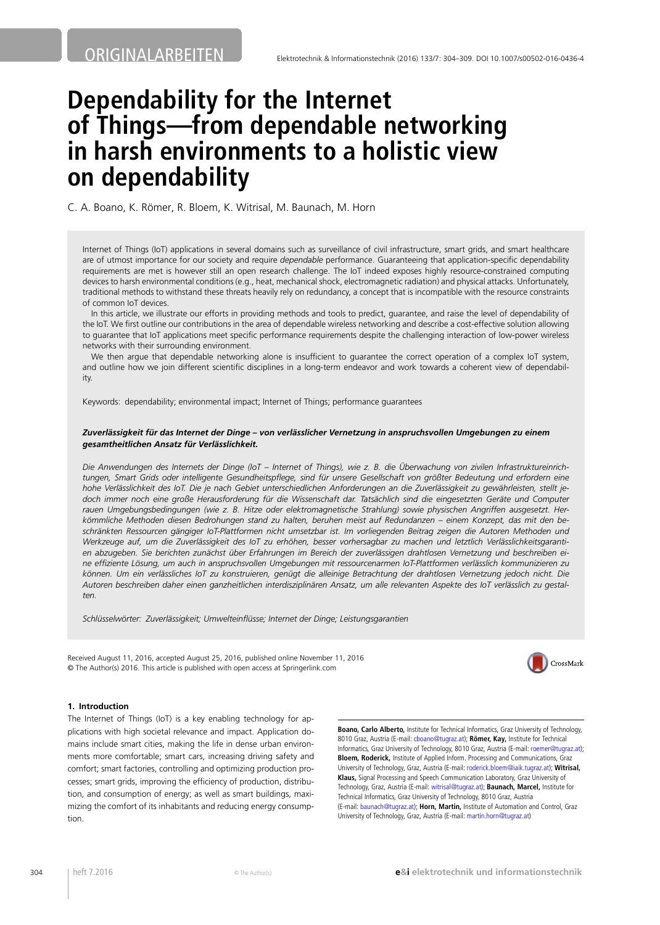# **Dependability for the Internet of Things—from dependable networking in harsh environments to a holistic view on dependability**

C. A. Boano, K. Römer, R. Bloem, K. Witrisal, M. Baunach, M. Horn

Internet of Things (IoT) applications in several domains such as surveillance of civil infrastructure, smart grids, and smart healthcare are of utmost importance for our society and require *dependable* performance. Guaranteeing that application-specific dependability requirements are met is however still an open research challenge. The IoT indeed exposes highly resource-constrained computing devices to harsh environmental conditions (e.g., heat, mechanical shock, electromagnetic radiation) and physical attacks. Unfortunately, traditional methods to withstand these threats heavily rely on redundancy, a concept that is incompatible with the resource constraints of common IoT devices.

In this article, we illustrate our efforts in providing methods and tools to predict, guarantee, and raise the level of dependability of the IoT. We first outline our contributions in the area of dependable wireless networking and describe a cost-effective solution allowing to guarantee that IoT applications meet specific performance requirements despite the challenging interaction of low-power wireless networks with their surrounding environment.

We then argue that dependable networking alone is insufficient to guarantee the correct operation of a complex IoT system, and outline how we join different scientific disciplines in a long-term endeavor and work towards a coherent view of dependability.

Keywords: dependability; environmental impact; Internet of Things; performance guarantees

#### *Zuverlässigkeit für das Internet der Dinge – von verlässlicher Vernetzung in anspruchsvollen Umgebungen zu einem gesamtheitlichen Ansatz für Verlässlichkeit.*

*Die Anwendungen des Internets der Dinge (IoT – Internet of Things), wie z. B. die Überwachung von zivilen Infrastruktureinrichtungen, Smart Grids oder intelligente Gesundheitspflege, sind für unsere Gesellschaft von größter Bedeutung und erfordern eine hohe Verlässlichkeit des IoT. Die je nach Gebiet unterschiedlichen Anforderungen an die Zuverlässigkeit zu gewährleisten, stellt jedoch immer noch eine große Herausforderung für die Wissenschaft dar. Tatsächlich sind die eingesetzten Geräte und Computer rauen Umgebungsbedingungen (wie z. B. Hitze oder elektromagnetische Strahlung) sowie physischen Angriffen ausgesetzt. Herkömmliche Methoden diesen Bedrohungen stand zu halten, beruhen meist auf Redundanzen – einem Konzept, das mit den beschränkten Ressourcen gängiger IoT-Plattformen nicht umsetzbar ist. Im vorliegenden Beitrag zeigen die Autoren Methoden und Werkzeuge auf, um die Zuverlässigkeit des IoT zu erhöhen, besser vorhersagbar zu machen und letztlich Verlässlichkeitsgarantien abzugeben. Sie berichten zunächst über Erfahrungen im Bereich der zuverlässigen drahtlosen Vernetzung und beschreiben eine effiziente Lösung, um auch in anspruchsvollen Umgebungen mit ressourcenarmen IoT-Plattformen verlässlich kommunizieren zu können. Um ein verlässliches IoT zu konstruieren, genügt die alleinige Betrachtung der drahtlosen Vernetzung jedoch nicht. Die Autoren beschreiben daher einen ganzheitlichen interdisziplinären Ansatz, um alle relevanten Aspekte des IoT verlässlich zu gestalten.*

*Schlüsselwörter: Zuverlässigkeit; Umwelteinflüsse; Internet der Dinge; Leistungsgarantien*

Received August 11, 2016, accepted August 25, 2016, published online November 11, 2016 © The Author(s) 2016. This article is published with open access at Springerlink.com



### **1. Introduction**

The Internet of Things (IoT) is a key enabling technology for applications with high societal relevance and impact. Application domains include smart cities, making the life in dense urban environments more comfortable; smart cars, increasing driving safety and comfort; smart factories, controlling and optimizing production processes; smart grids, improving the efficiency of production, distribution, and consumption of energy; as well as smart buildings, maximizing the comfort of its inhabitants and reducing energy consumption.

**Boano, Carlo Alberto,** Institute for Technical Informatics, Graz University of Technology, 8010 Graz, Austria (E-mail: [cboano@tugraz.at](mailto:cboano@tugraz.at)); **Römer, Kay,** Institute for Technical Informatics, Graz University of Technology, 8010 Graz, Austria (E-mail: [roemer@tugraz.at](mailto:roemer@tugraz.at)); **Bloem, Roderick,** Institute of Applied Inform. Processing and Communications, Graz University of Technology, Graz, Austria (E-mail: [roderick.bloem@iaik.tugraz.at](mailto:roderick.bloem@iaik.tugraz.at)); **Witrisal, Klaus,** Signal Processing and Speech Communication Laboratory, Graz University of Technology, Graz, Austria (E-mail: [witrisal@tugraz.at](mailto:witrisal@tugraz.at)); **Baunach, Marcel,** Institute for Technical Informatics, Graz University of Technology, 8010 Graz, Austria (E-mail: [baunach@tugraz.at\)](mailto:baunach@tugraz.at); **Horn, Martin,** Institute of Automation and Control, Graz University of Technology, Graz, Austria (E-mail: [martin.horn@tugraz.at\)](mailto:martin.horn@tugraz.at)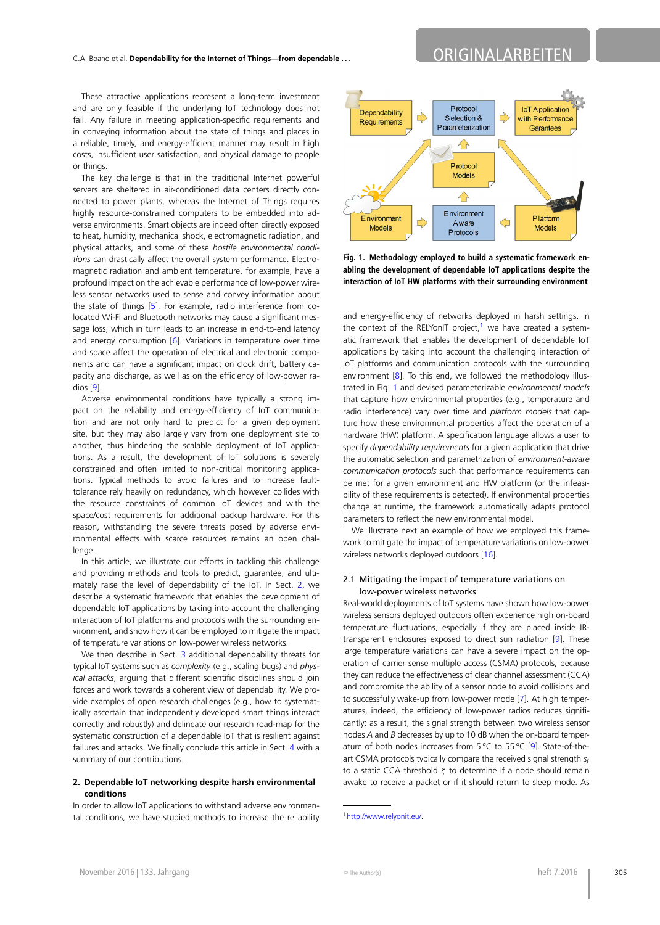## C.A. Boano et al. **Dependability for the Internet of Things—from dependable . . .** ORIGINALARBEITEN

These attractive applications represent a long-term investment and are only feasible if the underlying IoT technology does not fail. Any failure in meeting application-specific requirements and in conveying information about the state of things and places in a reliable, timely, and energy-efficient manner may result in high costs, insufficient user satisfaction, and physical damage to people or things.

The key challenge is that in the traditional Internet powerful servers are sheltered in air-conditioned data centers directly connected to power plants, whereas the Internet of Things requires highly resource-constrained computers to be embedded into adverse environments. Smart objects are indeed often directly exposed to heat, humidity, mechanical shock, electromagnetic radiation, and physical attacks, and some of these *hostile environmental conditions* can drastically affect the overall system performance. Electromagnetic radiation and ambient temperature, for example, have a profound impact on the achievable performance of low-power wireless sensor networks used to sense and convey information about the state of things [\[5\]](#page-4-0). For example, radio interference from colocated Wi-Fi and Bluetooth networks may cause a significant message loss, which in turn leads to an increase in end-to-end latency and energy consumption [\[6\]](#page-4-1). Variations in temperature over time and space affect the operation of electrical and electronic components and can have a significant impact on clock drift, battery capacity and discharge, as well as on the efficiency of low-power radios [[9](#page-4-2)].

Adverse environmental conditions have typically a strong impact on the reliability and energy-efficiency of IoT communication and are not only hard to predict for a given deployment site, but they may also largely vary from one deployment site to another, thus hindering the scalable deployment of IoT applications. As a result, the development of IoT solutions is severely constrained and often limited to non-critical monitoring applications. Typical methods to avoid failures and to increase faulttolerance rely heavily on redundancy, which however collides with the resource constraints of common IoT devices and with the space/cost requirements for additional backup hardware. For this reason, withstanding the severe threats posed by adverse environmental effects with scarce resources remains an open challenge.

In this article, we illustrate our efforts in tackling this challenge and providing methods and tools to predict, guarantee, and ultimately raise the level of dependability of the IoT. In Sect. [2,](#page-1-0) we describe a systematic framework that enables the development of dependable IoT applications by taking into account the challenging interaction of IoT platforms and protocols with the surrounding environment, and show how it can be employed to mitigate the impact of temperature variations on low-power wireless networks.

<span id="page-1-0"></span>We then describe in Sect. [3](#page-3-0) additional dependability threats for typical IoT systems such as *complexity* (e.g., scaling bugs) and *physical attacks*, arguing that different scientific disciplines should join forces and work towards a coherent view of dependability. We provide examples of open research challenges (e.g., how to systematically ascertain that independently developed smart things interact correctly and robustly) and delineate our research road-map for the systematic construction of a dependable IoT that is resilient against failures and attacks. We finally conclude this article in Sect. [4](#page-4-3) with a summary of our contributions.

#### **2. Dependable IoT networking despite harsh environmental conditions**

In order to allow IoT applications to withstand adverse environmental conditions, we have studied methods to increase the reliability



<span id="page-1-2"></span>**Fig. 1. Methodology employed to build a systematic framework enabling the development of dependable IoT applications despite the interaction of IoT HW platforms with their surrounding environment**

and energy-efficiency of networks deployed in harsh settings. In the context of the RELYonIT project,<sup>[1](#page-1-1)</sup> we have created a systematic framework that enables the development of dependable IoT applications by taking into account the challenging interaction of IoT platforms and communication protocols with the surrounding environment [\[8\]](#page-4-4). To this end, we followed the methodology illustrated in Fig. [1](#page-1-2) and devised parameterizable *environmental models* that capture how environmental properties (e.g., temperature and radio interference) vary over time and *platform models* that capture how these environmental properties affect the operation of a hardware (HW) platform. A specification language allows a user to specify *dependability requirements* for a given application that drive the automatic selection and parametrization of *environment-aware communication protocols* such that performance requirements can be met for a given environment and HW platform (or the infeasibility of these requirements is detected). If environmental properties change at runtime, the framework automatically adapts protocol parameters to reflect the new environmental model.

We illustrate next an example of how we employed this framework to mitigate the impact of temperature variations on low-power wireless networks deployed outdoors [\[16](#page-4-5)].

#### 2.1 Mitigating the impact of temperature variations on low-power wireless networks

Real-world deployments of IoT systems have shown how low-power wireless sensors deployed outdoors often experience high on-board temperature fluctuations, especially if they are placed inside IRtransparent enclosures exposed to direct sun radiation [\[9\]](#page-4-2). These large temperature variations can have a severe impact on the operation of carrier sense multiple access (CSMA) protocols, because they can reduce the effectiveness of clear channel assessment (CCA) and compromise the ability of a sensor node to avoid collisions and to successfully wake-up from low-power mode [[7](#page-4-6)]. At high temperatures, indeed, the efficiency of low-power radios reduces significantly: as a result, the signal strength between two wireless sensor nodes *A* and *B* decreases by up to 10 dB when the on-board temperature of both nodes increases from 5 °C to 55 °C [\[9](#page-4-2)]. State-of-theart CSMA protocols typically compare the received signal strength *s*<sup>r</sup> to a static CCA threshold *ζ* to determine if a node should remain awake to receive a packet or if it should return to sleep mode. As

<span id="page-1-1"></span><sup>1</sup>[http://www.relyonit.eu/.](http://www.relyonit.eu/)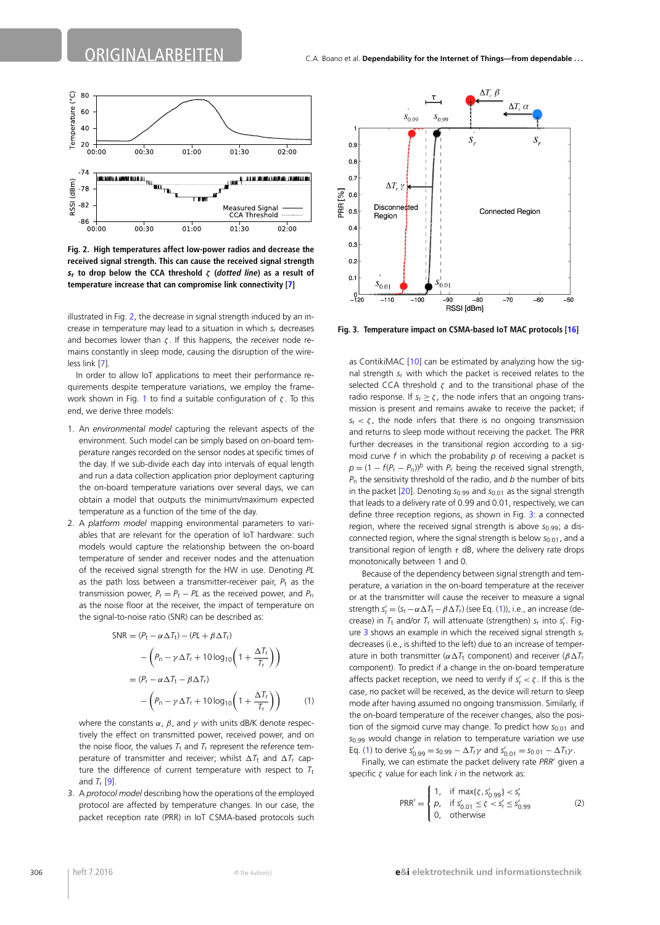

<span id="page-2-0"></span>**Fig. 2. High temperatures affect low-power radios and decrease the received signal strength. This can cause the received signal strength** *s***<sup>r</sup> to drop below the CCA threshold** *ζ* **(***dotted line***) as a result of temperature increase that can compromise link connectivity [[7\]](#page-4-6)**

illustrated in Fig. [2,](#page-2-0) the decrease in signal strength induced by an increase in temperature may lead to a situation in which *s*<sup>r</sup> decreases and becomes lower than *ζ* . If this happens, the receiver node remains constantly in sleep mode, causing the disruption of the wireless link [\[7\]](#page-4-6).

In order to allow IoT applications to meet their performance requirements despite temperature variations, we employ the framework shown in Fig. [1](#page-1-2) to find a suitable configuration of *ζ* . To this end, we derive three models:

- 1. An *environmental model* capturing the relevant aspects of the environment. Such model can be simply based on on-board temperature ranges recorded on the sensor nodes at specific times of the day. If we sub-divide each day into intervals of equal length and run a data collection application prior deployment capturing the on-board temperature variations over several days, we can obtain a model that outputs the minimum/maximum expected temperature as a function of the time of the day.
- 2. A *platform model* mapping environmental parameters to variables that are relevant for the operation of IoT hardware: such models would capture the relationship between the on-board temperature of sender and receiver nodes and the attenuation of the received signal strength for the HW in use. Denoting *PL* as the path loss between a transmitter-receiver pair,  $P_t$  as the transmission power,  $P_r = P_t - PL$  as the received power, and  $P_n$ as the noise floor at the receiver, the impact of temperature on the signal-to-noise ratio (SNR) can be described as:

<span id="page-2-2"></span>
$$
SNR = (P_t - \alpha \Delta T_t) - (PL + \beta \Delta T_r)
$$
  
- 
$$
\left(P_n - \gamma \Delta T_r + 10 \log_{10} \left(1 + \frac{\Delta T_r}{T_r}\right)\right)
$$
  
= 
$$
(P_r - \alpha \Delta T_t - \beta \Delta T_r)
$$
  
- 
$$
\left(P_n - \gamma \Delta T_r + 10 \log_{10} \left(1 + \frac{\Delta T_r}{T_r}\right)\right)
$$
 (1)

where the constants *α*, *β*, and *γ* with units dB/K denote respectively the effect on transmitted power, received power, and on the noise floor, the values  $T_t$  and  $T_r$  represent the reference temperature of transmitter and receiver; whilst  $\Delta T_t$  and  $\Delta T_r$  capture the difference of current temperature with respect to  $T_t$ and *T*<sup>r</sup> [[9](#page-4-2)].

3. A *protocol model* describing how the operations of the employed protocol are affected by temperature changes. In our case, the packet reception rate (PRR) in IoT CSMA-based protocols such



<span id="page-2-1"></span>**Fig. 3. Temperature impact on CSMA-based IoT MAC protocols [\[16\]](#page-4-5)**

as ContikiMAC [[10\]](#page-4-7) can be estimated by analyzing how the signal strength *s*<sup>r</sup> with which the packet is received relates to the selected CCA threshold *ζ* and to the transitional phase of the radio response. If  $s_r \ge \zeta$ , the node infers that an ongoing transmission is present and remains awake to receive the packet; if  $s_r < \zeta$ , the node infers that there is no ongoing transmission and returns to sleep mode without receiving the packet. The PRR further decreases in the transitional region according to a sigmoid curve *f* in which the probability *p* of receiving a packet is  $p = (1 - f(P_r - P_n))^b$  with  $P_r$  being the received signal strength, *P*<sup>n</sup> the sensitivity threshold of the radio, and *b* the number of bits in the packet [[20](#page-4-8)]. Denoting *s*0.99 and *s*0.01 as the signal strength that leads to a delivery rate of 0.99 and 0.01, respectively, we can define three reception regions, as shown in Fig. [3:](#page-2-1) a connected region, where the received signal strength is above  $s_{0.99}$ ; a disconnected region, where the signal strength is below  $s_{0.01}$ , and a transitional region of length *τ* dB, where the delivery rate drops monotonically between 1 and 0.

Because of the dependency between signal strength and temperature, a variation in the on-board temperature at the receiver or at the transmitter will cause the receiver to measure a signal strength  $s'_r = (s_r - \alpha \Delta T_t - \beta \Delta T_r)$  (see Eq. [\(1\)](#page-2-2)), i.e., an increase (decrease) in *T*<sup>t</sup> and/or *T*<sup>r</sup> will attenuate (strengthen) *s*<sup>r</sup> into *s* r. Figure [3](#page-2-1) shows an example in which the received signal strength *s*<sup>r</sup> decreases (i.e., is shifted to the left) due to an increase of temperature in both transmitter ( $\alpha \Delta T_t$  component) and receiver ( $\beta \Delta T_t$ component). To predict if a change in the on-board temperature affects packet reception, we need to verify if  $s'_r < \zeta$ . If this is the case, no packet will be received, as the device will return to sleep mode after having assumed no ongoing transmission. Similarly, if the on-board temperature of the receiver changes, also the position of the sigmoid curve may change. To predict how  $s_{0.01}$  and *s*0.99 would change in relation to temperature variation we use Eq. ([1\)](#page-2-2) to derive  $s'_{0.99} = s_{0.99} - \Delta T_r \gamma$  and  $s'_{0.01} = s_{0.01} - \Delta T_t \gamma$ .

Finally, we can estimate the packet delivery rate PRR' given a specific *ζ* value for each link *i* in the network as:

$$
PRR' = \begin{cases} 1, & \text{if } \max\{ \zeta, s'_{0.99} \} < s'_r \\ p, & \text{if } s'_{0.01} \le \zeta < s'_r \le s'_{0.99} \\ 0, & \text{otherwise} \end{cases} \tag{2}
$$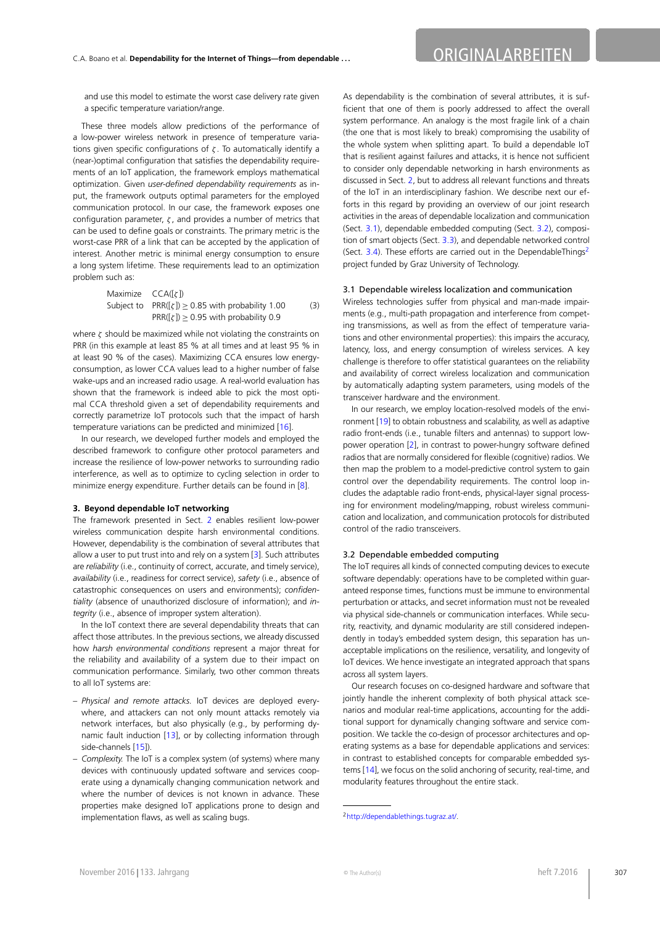## C.A. Boano et al. **Dependability for the Internet of Things—from dependable . . .** ORIGINALARBEITEN

and use this model to estimate the worst case delivery rate given a specific temperature variation/range.

These three models allow predictions of the performance of a low-power wireless network in presence of temperature variations given specific configurations of *ζ* . To automatically identify a (near-)optimal configuration that satisfies the dependability requirements of an IoT application, the framework employs mathematical optimization. Given *user-defined dependability requirements* as input, the framework outputs optimal parameters for the employed communication protocol. In our case, the framework exposes one configuration parameter, *ζ* , and provides a number of metrics that can be used to define goals or constraints. The primary metric is the worst-case PRR of a link that can be accepted by the application of interest. Another metric is minimal energy consumption to ensure a long system lifetime. These requirements lead to an optimization problem such as:

Maximize 
$$
CCA([g])
$$

\nSubject to  $PRR([g]) \geq 0.85$  with probability 1.00

\n $PRR([g]) \geq 0.95$  with probability 0.9

where *ζ* should be maximized while not violating the constraints on PRR (in this example at least 85 % at all times and at least 95 % in at least 90 % of the cases). Maximizing CCA ensures low energyconsumption, as lower CCA values lead to a higher number of false wake-ups and an increased radio usage. A real-world evaluation has shown that the framework is indeed able to pick the most optimal CCA threshold given a set of dependability requirements and correctly parametrize IoT protocols such that the impact of harsh temperature variations can be predicted and minimized [[16\]](#page-4-5).

<span id="page-3-0"></span>In our research, we developed further models and employed the described framework to configure other protocol parameters and increase the resilience of low-power networks to surrounding radio interference, as well as to optimize to cycling selection in order to minimize energy expenditure. Further details can be found in [[8](#page-4-4)].

#### **3. Beyond dependable IoT networking**

The framework presented in Sect. [2](#page-1-0) enables resilient low-power wireless communication despite harsh environmental conditions. However, dependability is the combination of several attributes that allow a user to put trust into and rely on a system [[3](#page-4-9)]. Such attributes are *reliability* (i.e., continuity of correct, accurate, and timely service), *availability* (i.e., readiness for correct service), *safety* (i.e., absence of catastrophic consequences on users and environments); *confidentiality* (absence of unauthorized disclosure of information); and *integrity* (i.e., absence of improper system alteration).

In the IoT context there are several dependability threats that can affect those attributes. In the previous sections, we already discussed how *harsh environmental conditions* represent a major threat for the reliability and availability of a system due to their impact on communication performance. Similarly, two other common threats to all IoT systems are:

- *Physical and remote attacks.* IoT devices are deployed everywhere, and attackers can not only mount attacks remotely via network interfaces, but also physically (e.g., by performing dynamic fault induction [\[13](#page-4-10)], or by collecting information through side-channels [[15\]](#page-4-11)).
- *Complexity.* The IoT is a complex system (of systems) where many devices with continuously updated software and services cooperate using a dynamically changing communication network and where the number of devices is not known in advance. These properties make designed IoT applications prone to design and implementation flaws, as well as scaling bugs.

<span id="page-3-1"></span>As dependability is the combination of several attributes, it is sufficient that one of them is poorly addressed to affect the overall system performance. An analogy is the most fragile link of a chain (the one that is most likely to break) compromising the usability of the whole system when splitting apart. To build a dependable IoT that is resilient against failures and attacks, it is hence not sufficient to consider only dependable networking in harsh environments as discussed in Sect. [2,](#page-1-0) but to address all relevant functions and threats of the IoT in an interdisciplinary fashion. We describe next our efforts in this regard by providing an overview of our joint research activities in the areas of dependable localization and communication (Sect. [3.1\)](#page-3-1), dependable embedded computing (Sect. [3.2](#page-3-2)), composition of smart objects (Sect. [3.3](#page-4-12)), and dependable networked control (Sect. [3.4](#page-4-13)). These efforts are carried out in the DependableThings<sup>2</sup> project funded by Graz University of Technology.

#### 3.1 Dependable wireless localization and communication

Wireless technologies suffer from physical and man-made impairments (e.g., multi-path propagation and interference from competing transmissions, as well as from the effect of temperature variations and other environmental properties): this impairs the accuracy, latency, loss, and energy consumption of wireless services. A key challenge is therefore to offer statistical guarantees on the reliability and availability of correct wireless localization and communication by automatically adapting system parameters, using models of the transceiver hardware and the environment.

<span id="page-3-2"></span>In our research, we employ location-resolved models of the environment [\[19\]](#page-4-14) to obtain robustness and scalability, as well as adaptive radio front-ends (i.e., tunable filters and antennas) to support lowpower operation [\[2\]](#page-4-15), in contrast to power-hungry software defined radios that are normally considered for flexible (cognitive) radios. We then map the problem to a model-predictive control system to gain control over the dependability requirements. The control loop includes the adaptable radio front-ends, physical-layer signal processing for environment modeling/mapping, robust wireless communication and localization, and communication protocols for distributed control of the radio transceivers.

#### 3.2 Dependable embedded computing

The IoT requires all kinds of connected computing devices to execute software dependably: operations have to be completed within guaranteed response times, functions must be immune to environmental perturbation or attacks, and secret information must not be revealed via physical side-channels or communication interfaces. While security, reactivity, and dynamic modularity are still considered independently in today's embedded system design, this separation has unacceptable implications on the resilience, versatility, and longevity of IoT devices. We hence investigate an integrated approach that spans across all system layers.

<span id="page-3-3"></span>Our research focuses on co-designed hardware and software that jointly handle the inherent complexity of both physical attack scenarios and modular real-time applications, accounting for the additional support for dynamically changing software and service composition. We tackle the co-design of processor architectures and operating systems as a base for dependable applications and services: in contrast to established concepts for comparable embedded systems [\[14](#page-4-16)], we focus on the solid anchoring of security, real-time, and modularity features throughout the entire stack.

<sup>2</sup><http://dependablethings.tugraz.at/>.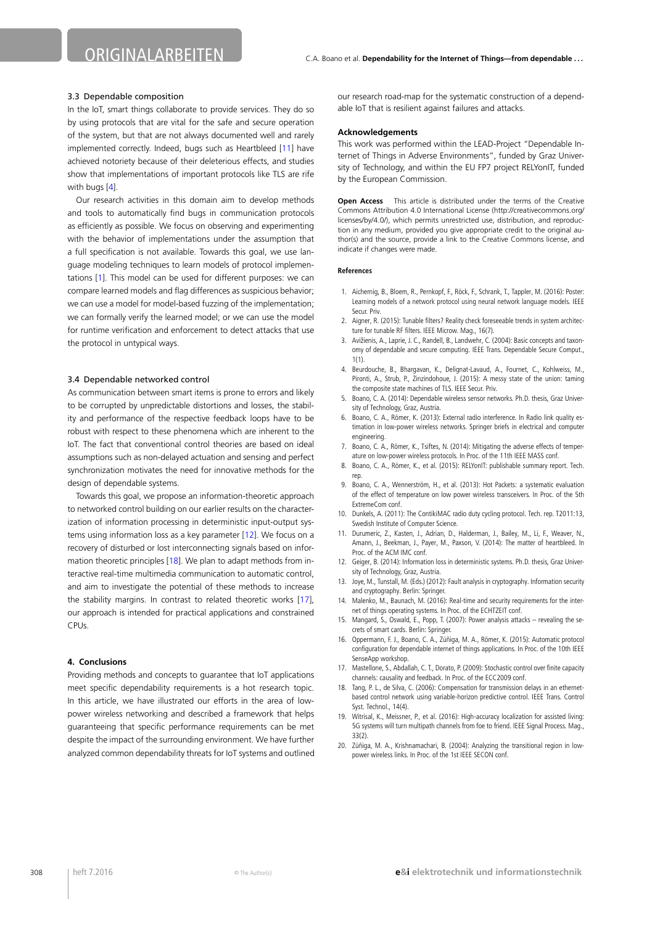#### <span id="page-4-12"></span>3.3 Dependable composition

In the IoT, smart things collaborate to provide services. They do so by using protocols that are vital for the safe and secure operation of the system, but that are not always documented well and rarely implemented correctly. Indeed, bugs such as Heartbleed [[11\]](#page-4-17) have achieved notoriety because of their deleterious effects, and studies show that implementations of important protocols like TLS are rife with bugs [[4](#page-4-18)].

<span id="page-4-13"></span>Our research activities in this domain aim to develop methods and tools to automatically find bugs in communication protocols as efficiently as possible. We focus on observing and experimenting with the behavior of implementations under the assumption that a full specification is not available. Towards this goal, we use language modeling techniques to learn models of protocol implementations [[1](#page-4-19)]. This model can be used for different purposes: we can compare learned models and flag differences as suspicious behavior; we can use a model for model-based fuzzing of the implementation; we can formally verify the learned model; or we can use the model for runtime verification and enforcement to detect attacks that use the protocol in untypical ways.

#### 3.4 Dependable networked control

As communication between smart items is prone to errors and likely to be corrupted by unpredictable distortions and losses, the stability and performance of the respective feedback loops have to be robust with respect to these phenomena which are inherent to the IoT. The fact that conventional control theories are based on ideal assumptions such as non-delayed actuation and sensing and perfect synchronization motivates the need for innovative methods for the design of dependable systems.

<span id="page-4-3"></span>Towards this goal, we propose an information-theoretic approach to networked control building on our earlier results on the characterization of information processing in deterministic input-output systems using information loss as a key parameter [\[12](#page-4-20)]. We focus on a recovery of disturbed or lost interconnecting signals based on infor-mation theoretic principles [[18\]](#page-4-21). We plan to adapt methods from interactive real-time multimedia communication to automatic control, and aim to investigate the potential of these methods to increase the stability margins. In contrast to related theoretic works [[17\]](#page-4-22), our approach is intended for practical applications and constrained CPUs.

#### **4. Conclusions**

Providing methods and concepts to guarantee that IoT applications meet specific dependability requirements is a hot research topic. In this article, we have illustrated our efforts in the area of lowpower wireless networking and described a framework that helps guaranteeing that specific performance requirements can be met despite the impact of the surrounding environment. We have further analyzed common dependability threats for IoT systems and outlined our research road-map for the systematic construction of a dependable IoT that is resilient against failures and attacks.

#### **Acknowledgements**

This work was performed within the LEAD-Project "Dependable Internet of Things in Adverse Environments", funded by Graz University of Technology, and within the EU FP7 project RELYonIT, funded by the European Commission.

<span id="page-4-19"></span><span id="page-4-15"></span>**Open Access** This article is distributed under the terms of the Creative Commons Attribution 4.0 International License (http://creativecommons.org/ licenses/by/4.0/), which permits unrestricted use, distribution, and reproduction in any medium, provided you give appropriate credit to the original author(s) and the source, provide a link to the Creative Commons license, and indicate if changes were made.

#### <span id="page-4-18"></span><span id="page-4-9"></span>**References**

- <span id="page-4-0"></span>1. Aichernig, B., Bloem, R., Pernkopf, F., Röck, F., Schrank, T., Tappler, M. (2016): Poster: Learning models of a network protocol using neural network language models. IEEE Secur. Priv.
- <span id="page-4-1"></span>2. Aigner, R. (2015): Tunable filters? Reality check foreseeable trends in system architecture for tunable RF filters. IEEE Microw. Mag., 16(7).
- <span id="page-4-6"></span>3. Avižienis, A., Laprie, J. C., Randell, B., Landwehr, C. (2004): Basic concepts and taxonomy of dependable and secure computing. IEEE Trans. Dependable Secure Comput., 1(1).
- <span id="page-4-4"></span>4. Beurdouche, B., Bhargavan, K., Delignat-Lavaud, A., Fournet, C., Kohlweiss, M., Pironti, A., Strub, P., Zinzindohoue, J. (2015): A messy state of the union: taming the composite state machines of TLS. IEEE Secur. Priv.
- <span id="page-4-2"></span>5. Boano, C. A. (2014): Dependable wireless sensor networks. Ph.D. thesis, Graz University of Technology, Graz, Austria.
- <span id="page-4-7"></span>6. Boano, C. A., Römer, K. (2013): External radio interference. In Radio link quality estimation in low-power wireless networks. Springer briefs in electrical and computer engineering.
- <span id="page-4-17"></span>7. Boano, C. A., Römer, K., Tsiftes, N. (2014): Mitigating the adverse effects of temperature on low-power wireless protocols. In Proc. of the 11th IEEE MASS conf.
- <span id="page-4-20"></span>8. Boano, C. A., Römer, K., et al. (2015): RELYonIT: publishable summary report. Tech. rep.
- <span id="page-4-10"></span>9. Boano, C. A., Wennerström, H., et al. (2013): Hot Packets: a systematic evaluation of the effect of temperature on low power wireless transceivers. In Proc. of the 5th ExtremeCom conf.
- <span id="page-4-16"></span><span id="page-4-11"></span>10. Dunkels, A. (2011): The ContikiMAC radio duty cycling protocol. Tech. rep. T2011:13, Swedish Institute of Computer Science.
- <span id="page-4-5"></span>11. Durumeric, Z., Kasten, J., Adrian, D., Halderman, J., Bailey, M., Li, F., Weaver, N., Amann, J., Beekman, J., Payer, M., Paxson, V. (2014): The matter of heartbleed. In Proc. of the ACM IMC conf.
- <span id="page-4-22"></span>12. Geiger, B. (2014): Information loss in deterministic systems. Ph.D. thesis, Graz University of Technology, Graz, Austria.
- <span id="page-4-21"></span>13. Joye, M., Tunstall, M. (Eds.) (2012): Fault analysis in cryptography. Information security and cryptography. Berlin: Springer.
- 14. Malenko, M., Baunach, M. (2016): Real-time and security requirements for the internet of things operating systems. In Proc. of the ECHTZEIT conf.
- <span id="page-4-14"></span>15. Mangard, S., Oswald, E., Popp, T. (2007): Power analysis attacks – revealing the secrets of smart cards. Berlin: Springer.
- <span id="page-4-8"></span>16. Oppermann, F. J., Boano, C. A., Zúñiga, M. A., Römer, K. (2015): Automatic protocol configuration for dependable internet of things applications. In Proc. of the 10th IEEE SenseApp workshop.
- 17. Mastellone, S., Abdallah, C. T., Dorato, P. (2009): Stochastic control over finite capacity channels: causality and feedback. In Proc. of the ECC2009 conf.
- 18. Tang, P. L., de Silva, C. (2006): Compensation for transmission delays in an ethernetbased control network using variable-horizon predictive control. IEEE Trans. Control Syst. Technol., 14(4).
- 19. Witrisal, K., Meissner, P., et al. (2016): High-accuracy localization for assisted living: 5G systems will turn multipath channels from foe to friend. IEEE Signal Process. Mag., 33(2).
- 20. Zúñiga, M. A., Krishnamachari, B. (2004): Analyzing the transitional region in lowpower wireless links. In Proc. of the 1st IEEE SECON conf.